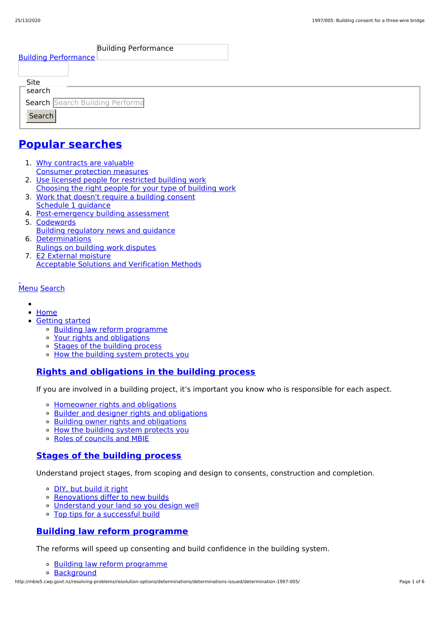| <b>Building Performance</b>     |  |
|---------------------------------|--|
| <b>Building Performance</b>     |  |
|                                 |  |
| Site<br>sec                     |  |
| Search Search Building Performa |  |
| Search                          |  |
|                                 |  |

## **Popular [searches](http://mbie5.cwp.govt.nz/#)**

- 1. Why contracts are valuable Consumer protection measures
- 2. Use licensed people for restricted building work Choosing the right people for your type of building work
- 3. Work that doesn't require a building consent Schedule 1 guidance
- 4. Post-emergency building assessment
- 5. Codewords Building regulatory news and guidance
- 6. Determinations Rulings on building work disputes
- 7. E2 External moisture Acceptable Solutions and Verification Methods

#### [Menu](http://mbie5.cwp.govt.nz/#) [Search](http://mbie5.cwp.govt.nz/#)

- $\bullet$
- [Home](http://mbie5.cwp.govt.nz/)
- [Getting](http://mbie5.cwp.govt.nz/getting-started/) started
	- o Building law reform [programme](http://mbie5.cwp.govt.nz/getting-started/building-law-reforms/)
	- Your rights and [obligations](http://mbie5.cwp.govt.nz/getting-started/your-rights-and-obligations/)
	- Stages of the [building](http://mbie5.cwp.govt.nz/getting-started/stages-of-the-building-process/) process
	- o How the building system [protects](http://mbie5.cwp.govt.nz/getting-started/how-the-building-system-protects-you/) you

#### **Rights and [obligations](http://mbie5.cwp.govt.nz/getting-started/your-rights-and-obligations/) in the building process**

If you are involved in a building project, it's important you know who is responsible for each aspect.

- [Homeowner](http://mbie5.cwp.govt.nz/getting-started/your-rights-and-obligations/homeowner-rights-and-obligations/) rights and obligations
- o Builder and designer rights and [obligations](http://mbie5.cwp.govt.nz/getting-started/your-rights-and-obligations/builder-and-designer-rights-and-obligations/)
- Building owner rights and [obligations](http://mbie5.cwp.govt.nz/getting-started/your-rights-and-obligations/building-owner-rights-and-obligations/)
- How the building system [protects](http://mbie5.cwp.govt.nz/getting-started/how-the-building-system-protects-you/) you
- Roles of [councils](http://mbie5.cwp.govt.nz/getting-started/how-the-building-system-protects-you/roles-of-councils-and-mbie/) and MBIE

#### **Stages of the [building](http://mbie5.cwp.govt.nz/getting-started/stages-of-the-building-process/) process**

Understand project stages, from scoping and design to consents, construction and completion.

- o DIY, but [build](http://mbie5.cwp.govt.nz/getting-started/stages-of-the-building-process/diy-but-build-it-right/) it right
- o [Renovations](http://mbie5.cwp.govt.nz/getting-started/stages-of-the-building-process/renovations-differ-to-new-builds/) differ to new builds
- [Understand](http://mbie5.cwp.govt.nz/getting-started/stages-of-the-building-process/understand-your-land/) your land so you design well
- Top tips for a [successful](http://mbie5.cwp.govt.nz/getting-started/stages-of-the-building-process/top-tips-for-building/) build

#### **Building law reform [programme](http://mbie5.cwp.govt.nz/getting-started/building-law-reforms/)**

The reforms will speed up consenting and build confidence in the building system.

- Building law reform [programme](http://mbie5.cwp.govt.nz/getting-started/building-law-reforms/)
- [Background](http://mbie5.cwp.govt.nz/getting-started/building-law-reforms/background-to-the-building-law-reforms/)

http://mbie5.cwp.govt.nz/resolving-problems/resolution-options/determinations/determinations-issued/determination-1997-005/ Page 1 of 6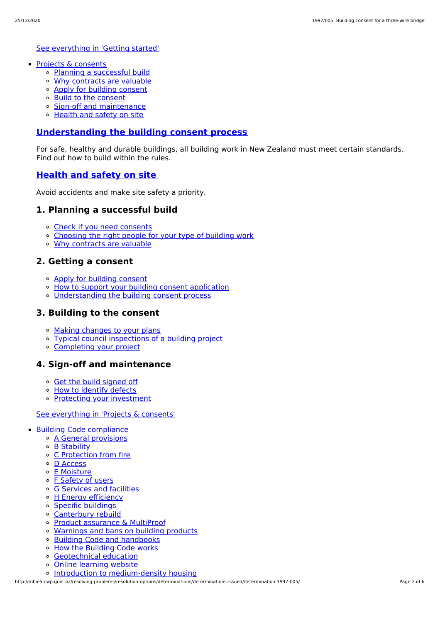See [everything](http://mbie5.cwp.govt.nz/getting-started/) in 'Getting started'

- Projects & [consents](http://mbie5.cwp.govt.nz/projects-and-consents/)
	- Planning a [successful](http://mbie5.cwp.govt.nz/projects-and-consents/planning-a-successful-build/) build
	- Why [contracts](http://mbie5.cwp.govt.nz/projects-and-consents/why-contracts-are-valuable/) are valuable
	- Apply for [building](http://mbie5.cwp.govt.nz/projects-and-consents/apply-for-building-consent/) consent
	- Build to the [consent](http://mbie5.cwp.govt.nz/projects-and-consents/build-to-the-consent/)
	- Sign-off and [maintenance](http://mbie5.cwp.govt.nz/projects-and-consents/sign-off-and-maintenance/)
	- [Health](http://mbie5.cwp.govt.nz/projects-and-consents/health-and-safety-on-site/) and safety on site

#### **[Understanding](http://mbie5.cwp.govt.nz/projects-and-consents/apply-for-building-consent/building-consent-process/) the building consent process**

For safe, healthy and durable buildings, all building work in New Zealand must meet certain standards. Find out how to build within the rules.

#### **[Health](http://mbie5.cwp.govt.nz/projects-and-consents/health-and-safety-on-site/) and safety on site**

Avoid accidents and make site safety a priority.

#### **1. Planning a successful build**

- Check if you need [consents](http://mbie5.cwp.govt.nz/projects-and-consents/planning-a-successful-build/scope-and-design/check-if-you-need-consents/)
- [Choosing](http://mbie5.cwp.govt.nz/projects-and-consents/planning-a-successful-build/scope-and-design/choosing-the-right-people-for-your-type-of-building-work/) the right people for your type of building work
- Why [contracts](http://mbie5.cwp.govt.nz/projects-and-consents/why-contracts-are-valuable/) are valuable

#### **2. Getting a consent**

- Apply for [building](http://mbie5.cwp.govt.nz/projects-and-consents/apply-for-building-consent/) consent
- o How to support your building consent [application](http://mbie5.cwp.govt.nz/projects-and-consents/apply-for-building-consent/support-your-consent-application/)
- [Understanding](http://mbie5.cwp.govt.nz/projects-and-consents/apply-for-building-consent/building-consent-process/) the building consent process

#### **3. Building to the consent**

- Making [changes](http://mbie5.cwp.govt.nz/projects-and-consents/build-to-the-consent/making-changes-to-your-plans/) to your plans
- Typical council [inspections](http://mbie5.cwp.govt.nz/projects-and-consents/build-to-the-consent/typical-council-inspections/) of a building project
- [Completing](http://mbie5.cwp.govt.nz/projects-and-consents/sign-off-and-maintenance/completing-your-project/) your project

#### **4. Sign-off and maintenance**

- Get the build [signed](http://mbie5.cwp.govt.nz/projects-and-consents/sign-off-and-maintenance/completing-your-project/get-the-build-signed-off/) off
- o How to [identify](http://mbie5.cwp.govt.nz/projects-and-consents/sign-off-and-maintenance/completing-your-project/how-to-identify-defects/) defects
- Protecting your [investment](http://mbie5.cwp.govt.nz/projects-and-consents/sign-off-and-maintenance/protecting-your-investment/)

#### See [everything](http://mbie5.cwp.govt.nz/projects-and-consents/) in 'Projects & consents'

- Building Code [compliance](http://mbie5.cwp.govt.nz/building-code-compliance/)
	- A General [provisions](http://mbie5.cwp.govt.nz/building-code-compliance/a-general-provisions/)
	- B [Stability](http://mbie5.cwp.govt.nz/building-code-compliance/b-stability/)
	- C [Protection](http://mbie5.cwp.govt.nz/building-code-compliance/c-protection-from-fire/) from fire
	- D [Access](http://mbie5.cwp.govt.nz/building-code-compliance/d-access/)
	- E [Moisture](http://mbie5.cwp.govt.nz/building-code-compliance/e-moisture/)
	- o F [Safety](http://mbie5.cwp.govt.nz/building-code-compliance/f-safety-of-users/) of users
	- o G [Services](http://mbie5.cwp.govt.nz/building-code-compliance/g-services-and-facilities/) and facilities
	- o H Energy [efficiency](http://mbie5.cwp.govt.nz/building-code-compliance/h-energy-efficiency/)
	- Specific [buildings](http://mbie5.cwp.govt.nz/building-code-compliance/specific-buildings/)
	- [Canterbury](http://mbie5.cwp.govt.nz/building-code-compliance/canterbury-rebuild/) rebuild
	- Product [assurance](http://mbie5.cwp.govt.nz/building-code-compliance/product-assurance-and-multiproof/) & MultiProof
	- [Warnings](http://mbie5.cwp.govt.nz/building-code-compliance/warnings-and-bans-on-building-products/) and bans on building products
	- Building Code and [handbooks](http://mbie5.cwp.govt.nz/building-code-compliance/building-code-and-handbooks/)
	- How the [Building](http://mbie5.cwp.govt.nz/building-code-compliance/how-the-building-code-works/) Code works
	- [Geotechnical](http://mbie5.cwp.govt.nz/building-code-compliance/geotechnical-education/) education
	- Online [learning](http://mbie5.cwp.govt.nz/building-code-compliance/online-learning/) website
	- o Introduction to [medium-density](http://mbie5.cwp.govt.nz/building-code-compliance/introduction-to-medium-density-housing/) housing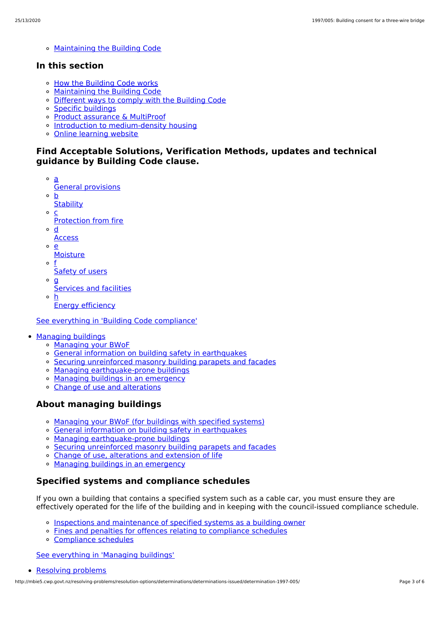[Maintaining](http://mbie5.cwp.govt.nz/building-code-compliance/annual-building-code-updates/) the Building Code

#### **In this section**

- o How the [Building](http://mbie5.cwp.govt.nz/building-code-compliance/how-the-building-code-works/) Code works
- [Maintaining](http://mbie5.cwp.govt.nz/building-code-compliance/annual-building-code-updates/) the Building Code
- [Different](http://mbie5.cwp.govt.nz/building-code-compliance/how-the-building-code-works/different-ways-to-comply/) ways to comply with the Building Code
- Specific [buildings](http://mbie5.cwp.govt.nz/building-code-compliance/specific-buildings/)
- Product [assurance](http://mbie5.cwp.govt.nz/building-code-compliance/product-assurance-and-multiproof/) & MultiProof
- o Introduction to [medium-density](http://mbie5.cwp.govt.nz/building-code-compliance/introduction-to-medium-density-housing/) housing
- Online [learning](http://mbie5.cwp.govt.nz/building-code-compliance/online-learning/) website

#### **Find Acceptable Solutions, Verification Methods, updates and technical guidance by Building Code clause.**

- a General provisions
- $\circ$ b
- **Stability**  $\circ$ c
- Protection from fire
- $\circ$ d
- **Access**
- $\circ$ e
	- **Moisture**
- o f Safety of users
- $\circ$  **g** 
	- Services and facilities
- h Energy efficiency

See everything in 'Building Code [compliance'](http://mbie5.cwp.govt.nz/building-code-compliance/)

- [Managing](http://mbie5.cwp.govt.nz/managing-buildings/) buildings
	- [Managing](http://mbie5.cwp.govt.nz/managing-buildings/managing-your-bwof/) your BWoF
	- General information on building safety in [earthquakes](http://mbie5.cwp.govt.nz/managing-buildings/building-safety-in-earthquakes/)
	- Securing [unreinforced](http://mbie5.cwp.govt.nz/managing-buildings/unreinforced-masonry/) masonry building parapets and facades
	- o Managing [earthquake-prone](http://mbie5.cwp.govt.nz/managing-buildings/managing-earthquake-prone-buildings/) buildings
	- Managing buildings in an [emergency](http://mbie5.cwp.govt.nz/managing-buildings/managing-buildings-in-an-emergency/)
	- Change of use and [alterations](http://mbie5.cwp.govt.nz/managing-buildings/change-of-use-and-alterations/)

#### **About managing buildings**

- [Managing](http://mbie5.cwp.govt.nz/managing-buildings/managing-your-bwof/) your BWoF (for buildings with specified systems)
- General information on building safety in [earthquakes](http://mbie5.cwp.govt.nz/managing-buildings/building-safety-in-earthquakes/)
- Managing [earthquake-prone](http://mbie5.cwp.govt.nz/managing-buildings/managing-earthquake-prone-buildings/) buildings
- Securing [unreinforced](http://mbie5.cwp.govt.nz/managing-buildings/unreinforced-masonry/) masonry building parapets and facades
- o Change of use, [alterations](http://mbie5.cwp.govt.nz/managing-buildings/change-of-use-and-alterations/) and extension of life
- o Managing buildings in an [emergency](http://mbie5.cwp.govt.nz/managing-buildings/managing-buildings-in-an-emergency/)

#### **Specified systems and compliance schedules**

If you own a building that contains a specified system such as a cable car, you must ensure they are effectively operated for the life of the building and in keeping with the council-issued compliance schedule.

- Inspections and [maintenance](http://mbie5.cwp.govt.nz/managing-buildings/managing-your-bwof/inspections-and-maintenance/) of specified systems as a building owner
- Fines and penalties for offences relating to [compliance](http://mbie5.cwp.govt.nz/managing-buildings/managing-your-bwof/fines-and-penalties/) schedules
- [Compliance](http://mbie5.cwp.govt.nz/projects-and-consents/sign-off-and-maintenance/completing-your-project/compliance-schedules/) schedules

See [everything](http://mbie5.cwp.govt.nz/managing-buildings/) in 'Managing buildings'

```
Resolving problems
```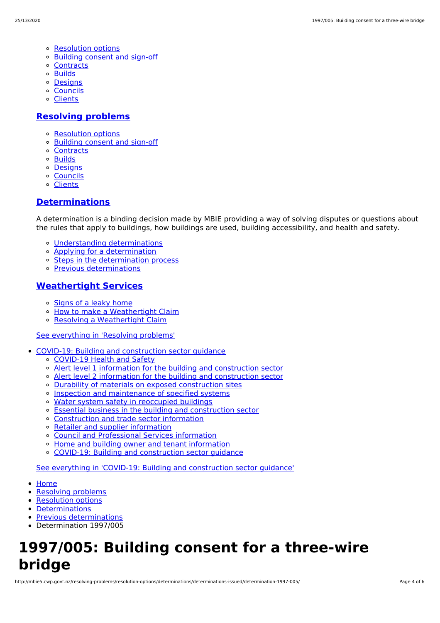- [Resolution](http://mbie5.cwp.govt.nz/resolving-problems/resolution-options/) options
- [Building](http://mbie5.cwp.govt.nz/resolving-problems/building-consent-and-sign-off/) consent and sign-off
- [Contracts](http://mbie5.cwp.govt.nz/resolving-problems/contracts/)
- [Builds](http://mbie5.cwp.govt.nz/resolving-problems/builds/)
- [Designs](http://mbie5.cwp.govt.nz/resolving-problems/designs/)
- [Councils](http://mbie5.cwp.govt.nz/resolving-problems/councils/)
- [Clients](http://mbie5.cwp.govt.nz/resolving-problems/clients/)

#### **[Resolving](http://mbie5.cwp.govt.nz/resolving-problems/) problems**

- [Resolution](http://mbie5.cwp.govt.nz/resolving-problems/resolution-options/) options
- [Building](http://mbie5.cwp.govt.nz/resolving-problems/building-consent-and-sign-off/) consent and sign-off
- [Contracts](http://mbie5.cwp.govt.nz/resolving-problems/contracts/)
- o **[Builds](http://mbie5.cwp.govt.nz/resolving-problems/builds/)**
- [Designs](http://mbie5.cwp.govt.nz/resolving-problems/designs/)
- [Councils](http://mbie5.cwp.govt.nz/resolving-problems/councils/)
- [Clients](http://mbie5.cwp.govt.nz/resolving-problems/clients/)

#### **[Determinations](http://mbie5.cwp.govt.nz/resolving-problems/resolution-options/determinations/)**

A determination is a binding decision made by MBIE providing a way of solving disputes or questions about the rules that apply to buildings, how buildings are used, building accessibility, and health and safety.

- Understanding [determinations](http://mbie5.cwp.govt.nz/resolving-problems/resolution-options/determinations/)
- Applying for a [determination](http://mbie5.cwp.govt.nz/resolving-problems/resolution-options/determinations/applying-for-a-determination/)
- o Steps in the [determination](http://mbie5.cwp.govt.nz/resolving-problems/resolution-options/determinations/steps-in-the-determination-process/) process
- Previous [determinations](http://mbie5.cwp.govt.nz/resolving-problems/resolution-options/determinations/determinations-issued/)

#### **[Weathertight](http://mbie5.cwp.govt.nz/resolving-problems/resolution-options/weathertight-services/) Services**

- o [Signs](http://mbie5.cwp.govt.nz/resolving-problems/resolution-options/weathertight-services/signs-of-a-leaky-home/) of a leaky home
- How to make a [Weathertight](http://mbie5.cwp.govt.nz/resolving-problems/resolution-options/weathertight-services/make-a-weathertight-home-claim/) Claim  $\circ$
- Resolving a [Weathertight](http://mbie5.cwp.govt.nz/resolving-problems/resolution-options/weathertight-services/resolving-a-claim/) Claim

#### See [everything](http://mbie5.cwp.govt.nz/resolving-problems/) in 'Resolving problems'

- COVID-19: Building and [construction](http://mbie5.cwp.govt.nz/covid-19/) sector guidance
	- [COVID-19](http://mbie5.cwp.govt.nz/covid-19/health-and-safety/) Health and Safety
	- Alert level 1 information for the building and [construction](http://mbie5.cwp.govt.nz/covid-19/alert-level-1-information-for-the-building-and-construction-sector/) sector
	- Alert level 2 information for the building and [construction](http://mbie5.cwp.govt.nz/covid-19/alert-level-2-information-for-the-building-and-construction-sector/) sector
	- Durability of materials on exposed [construction](http://mbie5.cwp.govt.nz/covid-19/durability-of-materials-on-exposed-construction-sites/) sites
	- o Inspection and [maintenance](http://mbie5.cwp.govt.nz/covid-19/inspection-and-maintenance-of-specified-systems/) of specified systems
	- o Water system safety in [reoccupied](http://mbie5.cwp.govt.nz/covid-19/water-system-safety-in-reoccupied-buildings/) buildings
	- Essential business in the building and [construction](http://mbie5.cwp.govt.nz/covid-19/essential-business/) sector
	- [Construction](http://mbie5.cwp.govt.nz/covid-19/construction-and-trade-sector-information/) and trade sector information
	- Retailer and supplier [information](http://mbie5.cwp.govt.nz/covid-19/retailer-and-supplier-information/)
	- Council and [Professional](http://mbie5.cwp.govt.nz/covid-19/council-and-professional-services-information/) Services information
	- Home and building owner and tenant [information](http://mbie5.cwp.govt.nz/covid-19/home-and-building-owner-and-tenant-information/)
	- COVID-19: Building and [construction](http://mbie5.cwp.govt.nz/covid-19/) sector guidance  $\alpha$

See everything in 'COVID-19: Building and [construction](http://mbie5.cwp.govt.nz/covid-19/) sector guidance'

- [Home](http://mbie5.cwp.govt.nz/)
- [Resolving](http://mbie5.cwp.govt.nz/resolving-problems/) problems
- [Resolution](http://mbie5.cwp.govt.nz/resolving-problems/resolution-options/) options
- [Determinations](http://mbie5.cwp.govt.nz/resolving-problems/resolution-options/determinations/)
- Previous [determinations](http://mbie5.cwp.govt.nz/resolving-problems/resolution-options/determinations/determinations-issued/)
- Determination 1997/005

# **1997/005: Building consent for a three-wire bridge**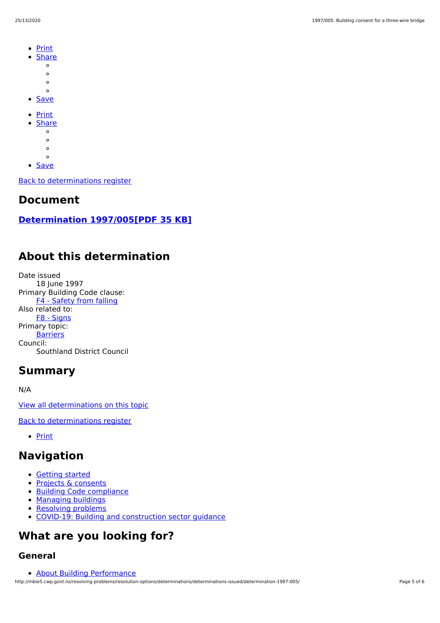- **[Print](http://mbie5.cwp.govt.nz/#)**  $\bullet$
- **[Share](http://mbie5.cwp.govt.nz/#)** 
	- $\circ$
	- $\circ$
	- $\circ$  $\circ$
- **[Save](http://mbie5.cwp.govt.nz/resolving-problems/resolution-options/determinations/determinations-issued/determination-1997-005/downloadpdf)**
- [Print](http://mbie5.cwp.govt.nz/#)
- **[Share](http://mbie5.cwp.govt.nz/#)** 
	- $\circ$
	- $\circ$
	- $\circ$
	- $\circ$
- [Save](http://mbie5.cwp.govt.nz/resolving-problems/resolution-options/determinations/determinations-issued/determination-1997-005/downloadpdf)

Back to [determinations](http://mbie5.cwp.govt.nz/resolving-problems/resolution-options/determinations/determinations-issued/) register

### **Document**

### **[Determination](http://mbie5.cwp.govt.nz/assets/Uploads/resolving-problems/determinations/1997/1997-005.pdf) 1997/005[PDF 35 KB]**

# **About this determination**

Date issued 18 June 1997 Primary Building Code clause: F4 - [Safety](http://mbie5.cwp.govt.nz/building-code-compliance/f-safety-of-users/f4-safety-from-falling/) from falling Also related to: F8 - [Signs](http://mbie5.cwp.govt.nz/building-code-compliance/f-safety-of-users/f8-signs/) Primary topic: **[Barriers](http://mbie5.cwp.govt.nz/resolving-problems/resolution-options/determinations/determinations-issued/?keyword=&topic=Barriers&action_doSearch=Search#results#)** Council: Southland District Council

### **Summary**

N/A

View all [determinations](http://mbie5.cwp.govt.nz/resolving-problems/resolution-options/determinations/determinations-issued/?keyword=&topic=Barriers&action_doSearch=Search#results#) on this topic

Back to [determinations](http://mbie5.cwp.govt.nz/resolving-problems/resolution-options/determinations/determinations-issued/) register

• [Print](http://mbie5.cwp.govt.nz/#)

### **Navigation**

- [Getting](http://mbie5.cwp.govt.nz/getting-started/) started
- Projects & [consents](http://mbie5.cwp.govt.nz/projects-and-consents/)
- Building Code [compliance](http://mbie5.cwp.govt.nz/building-code-compliance/)
- [Managing](http://mbie5.cwp.govt.nz/managing-buildings/) buildings
- [Resolving](http://mbie5.cwp.govt.nz/resolving-problems/) problems
- COVID-19: Building and [construction](http://mbie5.cwp.govt.nz/covid-19/) sector guidance

# **What are you looking for?**

### **General**

About Building [Performance](http://mbie5.cwp.govt.nz/about-building-performance/)

http://mbie5.cwp.govt.nz/resolving-problems/resolution-options/determinations/determinations-issued/determination-1997-005/ Page 5 of 6